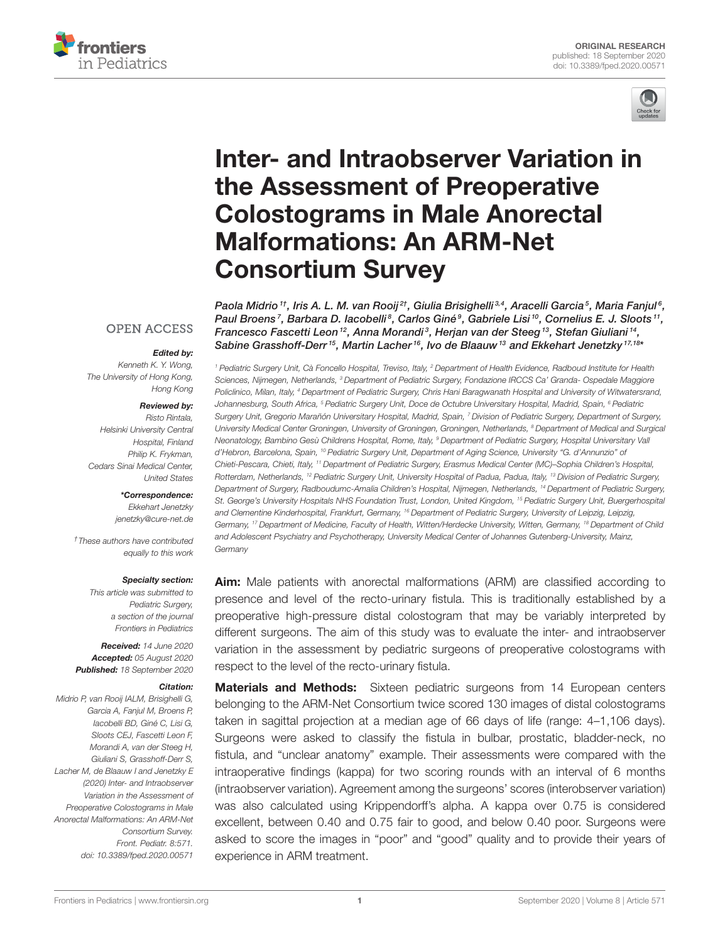



# [Inter- and Intraobserver Variation in](https://www.frontiersin.org/articles/10.3389/fped.2020.00571/full) the Assessment of Preoperative Colostograms in Male Anorectal Malformations: An ARM-Net Consortium Survey

Paola Midrio  $^{\text{\tiny 1}\text{\tiny 1}}$ , Iris A. L. M. van Rooij $^{2\text{\tiny 1}}$ , Giulia Brisighelli $^{3,4}$ , Aracelli Garcia $^5$ , Maria Fanjul $^6$ , Paul Broens', Barbara D. Iacobelli<sup>8</sup>, Carlos Giné<sup>9</sup>, Gabriele Lisi<sup>10</sup>, Cornelius E. J. Sloots'', Francesco Fascetti Leon  $^{12}$ , Anna Morandi $^3$ , Herjan van der Steeg  $^{13}$ , Stefan Giuliani  $^{14}$ , Sabine Grasshoff-Derr<sup>15</sup>, Martin Lacher<sup>16</sup>, Ivo de Blaauw<sup>13</sup> and Ekkehart Jenetzky<sup>17,18</sup>'

### **OPEN ACCESS**

#### Edited by:

Kenneth K. Y. Wong, The University of Hong Kong, Hong Kong

#### Reviewed by:

Risto Rintala, Helsinki University Central Hospital, Finland Philip K. Frykman, Cedars Sinai Medical Center, United States

\*Correspondence:

Ekkehart Jenetzky [jenetzky@cure-net.de](mailto:jenetzky@cure-net.de)

†These authors have contributed equally to this work

#### Specialty section:

This article was submitted to Pediatric Surgery a section of the journal Frontiers in Pediatrics

Received: 14 June 2020 Accepted: 05 August 2020 Published: 18 September 2020

#### Citation:

Midrio P, van Rooij IALM, Brisighelli G, Garcia A, Fanjul M, Broens P, Iacobelli BD, Giné C, Lisi G, Sloots CEJ, Fascetti Leon F, Morandi A, van der Steeg H, Giuliani S, Grasshoff-Derr S, Lacher M, de Blaauw I and Jenetzky E (2020) Inter- and Intraobserver Variation in the Assessment of Preoperative Colostograms in Male Anorectal Malformations: An ARM-Net Consortium Survey. Front. Pediatr. 8:571. doi: [10.3389/fped.2020.00571](https://doi.org/10.3389/fped.2020.00571)

<sup>1</sup> Pediatric Surgery Unit, Cà Foncello Hospital, Treviso, Italy, <sup>2</sup> Department of Health Evidence, Radboud Institute for Health Sciences, Nijmegen, Netherlands, <sup>3</sup> Department of Pediatric Surgery, Fondazione IRCCS Ca' Granda- Ospedale Maggiore Policlinico, Milan, Italy, <sup>4</sup> Department of Pediatric Surgery, Chris Hani Baragwanath Hospital and University of Witwatersrand, Johannesburg, South Africa, <sup>5</sup> Pediatric Surgery Unit, Doce de Octubre Universitary Hospital, Madrid, Spain, <sup>6</sup> Pediatric Surgery Unit, Gregorio Marañón Universitary Hospital, Madrid, Spain, 7 Division of Pediatric Surgery, Department of Surgery, University Medical Center Groningen, University of Groningen, Groningen, Netherlands, <sup>8</sup> Department of Medical and Surgical Neonatology, Bambino Gesù Childrens Hospital, Rome, Italy, <sup>9</sup> Department of Pediatric Surgery, Hospital Universitary Vall d'Hebron, Barcelona, Spain, <sup>10</sup> Pediatric Surgery Unit, Department of Aging Science, University "G. d'Annunzio" of Chieti-Pescara, Chieti, Italy, <sup>11</sup> Department of Pediatric Surgery, Erasmus Medical Center (MC)–Sophia Children's Hospital, Rotterdam, Netherlands, <sup>12</sup> Pediatric Surgery Unit, University Hospital of Padua, Padua, Italy, <sup>13</sup> Division of Pediatric Surgery, Department of Surgery, Radboudumc-Amalia Children's Hospital, Nijmegen, Netherlands, <sup>14</sup> Department of Pediatric Surgery, St. George's University Hospitals NHS Foundation Trust, London, United Kingdom, <sup>15</sup> Pediatric Surgery Unit, Buergerhospital and Clementine Kinderhospital, Frankfurt, Germany, <sup>16</sup> Department of Pediatric Surgery, University of Leipzig, Leipzig, Germany, <sup>17</sup> Department of Medicine, Faculty of Health, Witten/Herdecke University, Witten, Germany, <sup>18</sup> Department of Child and Adolescent Psychiatry and Psychotherapy, University Medical Center of Johannes Gutenberg-University, Mainz, **Germany** 

Aim: Male patients with anorectal malformations (ARM) are classified according to presence and level of the recto-urinary fistula. This is traditionally established by a preoperative high-pressure distal colostogram that may be variably interpreted by different surgeons. The aim of this study was to evaluate the inter- and intraobserver variation in the assessment by pediatric surgeons of preoperative colostograms with respect to the level of the recto-urinary fistula.

**Materials and Methods:** Sixteen pediatric surgeons from 14 European centers belonging to the ARM-Net Consortium twice scored 130 images of distal colostograms taken in sagittal projection at a median age of 66 days of life (range: 4–1,106 days). Surgeons were asked to classify the fistula in bulbar, prostatic, bladder-neck, no fistula, and "unclear anatomy" example. Their assessments were compared with the intraoperative findings (kappa) for two scoring rounds with an interval of 6 months (intraobserver variation). Agreement among the surgeons' scores (interobserver variation) was also calculated using Krippendorff's alpha. A kappa over 0.75 is considered excellent, between 0.40 and 0.75 fair to good, and below 0.40 poor. Surgeons were asked to score the images in "poor" and "good" quality and to provide their years of experience in ARM treatment.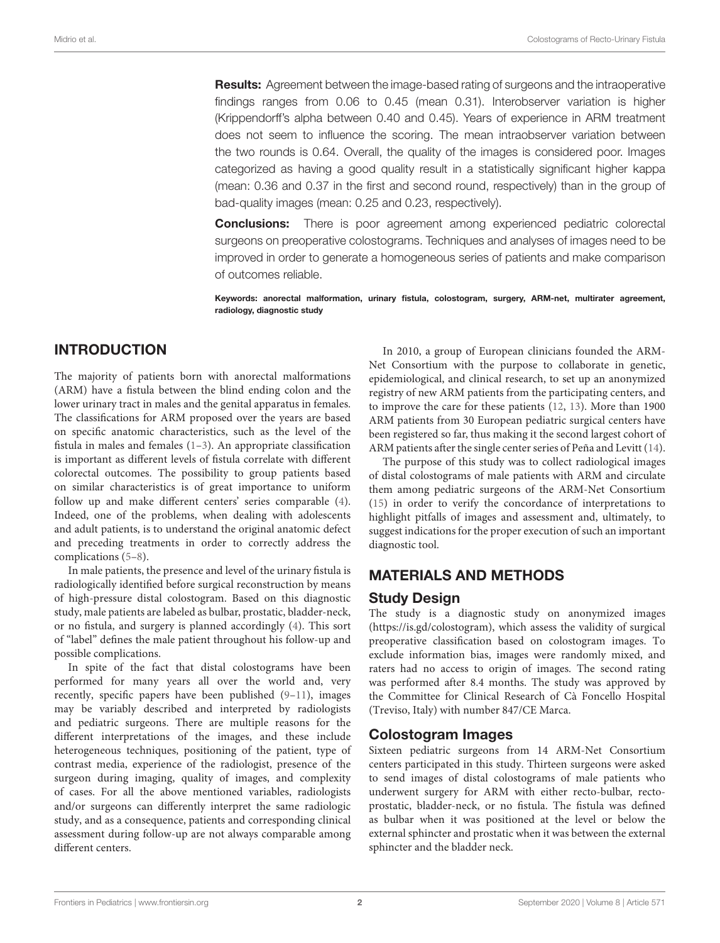**Results:** Agreement between the image-based rating of surgeons and the intraoperative findings ranges from 0.06 to 0.45 (mean 0.31). Interobserver variation is higher (Krippendorff's alpha between 0.40 and 0.45). Years of experience in ARM treatment does not seem to influence the scoring. The mean intraobserver variation between the two rounds is 0.64. Overall, the quality of the images is considered poor. Images categorized as having a good quality result in a statistically significant higher kappa (mean: 0.36 and 0.37 in the first and second round, respectively) than in the group of bad-quality images (mean: 0.25 and 0.23, respectively).

**Conclusions:** There is poor agreement among experienced pediatric colorectal surgeons on preoperative colostograms. Techniques and analyses of images need to be improved in order to generate a homogeneous series of patients and make comparison of outcomes reliable.

Keywords: anorectal malformation, urinary fistula, colostogram, surgery, ARM-net, multirater agreement, radiology, diagnostic study

# INTRODUCTION

The majority of patients born with anorectal malformations (ARM) have a fistula between the blind ending colon and the lower urinary tract in males and the genital apparatus in females. The classifications for ARM proposed over the years are based on specific anatomic characteristics, such as the level of the fistula in males and females  $(1-3)$  $(1-3)$ . An appropriate classification is important as different levels of fistula correlate with different colorectal outcomes. The possibility to group patients based on similar characteristics is of great importance to uniform follow up and make different centers' series comparable [\(4\)](#page-5-2). Indeed, one of the problems, when dealing with adolescents and adult patients, is to understand the original anatomic defect and preceding treatments in order to correctly address the complications [\(5](#page-5-3)[–8\)](#page-5-4).

In male patients, the presence and level of the urinary fistula is radiologically identified before surgical reconstruction by means of high-pressure distal colostogram. Based on this diagnostic study, male patients are labeled as bulbar, prostatic, bladder-neck, or no fistula, and surgery is planned accordingly [\(4\)](#page-5-2). This sort of "label" defines the male patient throughout his follow-up and possible complications.

In spite of the fact that distal colostograms have been performed for many years all over the world and, very recently, specific papers have been published [\(9–](#page-5-5)[11\)](#page-5-6), images may be variably described and interpreted by radiologists and pediatric surgeons. There are multiple reasons for the different interpretations of the images, and these include heterogeneous techniques, positioning of the patient, type of contrast media, experience of the radiologist, presence of the surgeon during imaging, quality of images, and complexity of cases. For all the above mentioned variables, radiologists and/or surgeons can differently interpret the same radiologic study, and as a consequence, patients and corresponding clinical assessment during follow-up are not always comparable among different centers.

In 2010, a group of European clinicians founded the ARM-Net Consortium with the purpose to collaborate in genetic, epidemiological, and clinical research, to set up an anonymized registry of new ARM patients from the participating centers, and to improve the care for these patients [\(12,](#page-5-7) [13\)](#page-5-8). More than 1900 ARM patients from 30 European pediatric surgical centers have been registered so far, thus making it the second largest cohort of ARM patients after the single center series of Peña and Levitt [\(14\)](#page-5-9).

The purpose of this study was to collect radiological images of distal colostograms of male patients with ARM and circulate them among pediatric surgeons of the ARM-Net Consortium [\(15\)](#page-5-10) in order to verify the concordance of interpretations to highlight pitfalls of images and assessment and, ultimately, to suggest indications for the proper execution of such an important diagnostic tool.

# MATERIALS AND METHODS

## Study Design

The study is a diagnostic study on anonymized images [\(https://is.gd/colostogram\)](https://is.gd/colostogram), which assess the validity of surgical preoperative classification based on colostogram images. To exclude information bias, images were randomly mixed, and raters had no access to origin of images. The second rating was performed after 8.4 months. The study was approved by the Committee for Clinical Research of Cà Foncello Hospital (Treviso, Italy) with number 847/CE Marca.

# Colostogram Images

Sixteen pediatric surgeons from 14 ARM-Net Consortium centers participated in this study. Thirteen surgeons were asked to send images of distal colostograms of male patients who underwent surgery for ARM with either recto-bulbar, rectoprostatic, bladder-neck, or no fistula. The fistula was defined as bulbar when it was positioned at the level or below the external sphincter and prostatic when it was between the external sphincter and the bladder neck.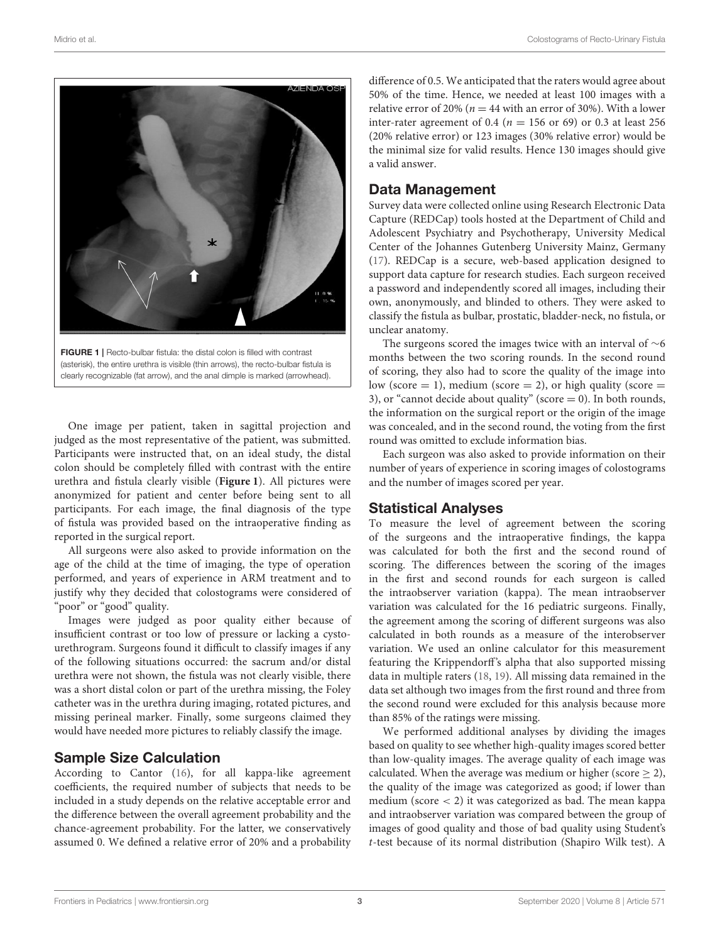

FIGURE 1 | Recto-bulbar fistula: the distal colon is filled with contrast (asterisk), the entire urethra is visible (thin arrows), the recto-bulbar fistula is clearly recognizable (fat arrow), and the anal dimple is marked (arrowhead).

<span id="page-2-0"></span>One image per patient, taken in sagittal projection and judged as the most representative of the patient, was submitted. Participants were instructed that, on an ideal study, the distal colon should be completely filled with contrast with the entire urethra and fistula clearly visible (**[Figure 1](#page-2-0)**). All pictures were anonymized for patient and center before being sent to all participants. For each image, the final diagnosis of the type of fistula was provided based on the intraoperative finding as reported in the surgical report.

All surgeons were also asked to provide information on the age of the child at the time of imaging, the type of operation performed, and years of experience in ARM treatment and to justify why they decided that colostograms were considered of "poor" or "good" quality.

Images were judged as poor quality either because of insufficient contrast or too low of pressure or lacking a cystourethrogram. Surgeons found it difficult to classify images if any of the following situations occurred: the sacrum and/or distal urethra were not shown, the fistula was not clearly visible, there was a short distal colon or part of the urethra missing, the Foley catheter was in the urethra during imaging, rotated pictures, and missing perineal marker. Finally, some surgeons claimed they would have needed more pictures to reliably classify the image.

# Sample Size Calculation

According to Cantor [\(16\)](#page-5-11), for all kappa-like agreement coefficients, the required number of subjects that needs to be included in a study depends on the relative acceptable error and the difference between the overall agreement probability and the chance-agreement probability. For the latter, we conservatively assumed 0. We defined a relative error of 20% and a probability difference of 0.5. We anticipated that the raters would agree about 50% of the time. Hence, we needed at least 100 images with a relative error of 20% ( $n = 44$  with an error of 30%). With a lower inter-rater agreement of 0.4 ( $n = 156$  or 69) or 0.3 at least 256 (20% relative error) or 123 images (30% relative error) would be the minimal size for valid results. Hence 130 images should give a valid answer.

# Data Management

Survey data were collected online using Research Electronic Data Capture (REDCap) tools hosted at the Department of Child and Adolescent Psychiatry and Psychotherapy, University Medical Center of the Johannes Gutenberg University Mainz, Germany [\(17\)](#page-5-12). REDCap is a secure, web-based application designed to support data capture for research studies. Each surgeon received a password and independently scored all images, including their own, anonymously, and blinded to others. They were asked to classify the fistula as bulbar, prostatic, bladder-neck, no fistula, or unclear anatomy.

The surgeons scored the images twice with an interval of ∼6 months between the two scoring rounds. In the second round of scoring, they also had to score the quality of the image into low (score  $= 1$ ), medium (score  $= 2$ ), or high quality (score  $=$ 3), or "cannot decide about quality" (score  $= 0$ ). In both rounds, the information on the surgical report or the origin of the image was concealed, and in the second round, the voting from the first round was omitted to exclude information bias.

Each surgeon was also asked to provide information on their number of years of experience in scoring images of colostograms and the number of images scored per year.

# Statistical Analyses

To measure the level of agreement between the scoring of the surgeons and the intraoperative findings, the kappa was calculated for both the first and the second round of scoring. The differences between the scoring of the images in the first and second rounds for each surgeon is called the intraobserver variation (kappa). The mean intraobserver variation was calculated for the 16 pediatric surgeons. Finally, the agreement among the scoring of different surgeons was also calculated in both rounds as a measure of the interobserver variation. We used an online calculator for this measurement featuring the Krippendorff's alpha that also supported missing data in multiple raters [\(18,](#page-5-13) [19\)](#page-5-14). All missing data remained in the data set although two images from the first round and three from the second round were excluded for this analysis because more than 85% of the ratings were missing.

We performed additional analyses by dividing the images based on quality to see whether high-quality images scored better than low-quality images. The average quality of each image was calculated. When the average was medium or higher (score  $\geq$  2), the quality of the image was categorized as good; if lower than medium (score  $<$  2) it was categorized as bad. The mean kappa and intraobserver variation was compared between the group of images of good quality and those of bad quality using Student's t-test because of its normal distribution (Shapiro Wilk test). A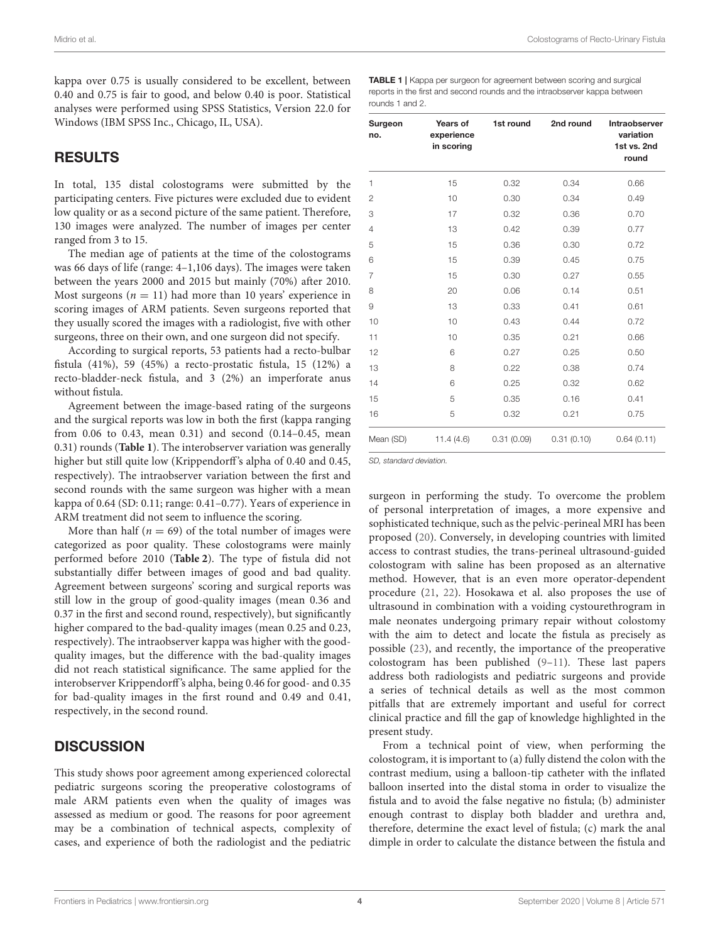kappa over 0.75 is usually considered to be excellent, between 0.40 and 0.75 is fair to good, and below 0.40 is poor. Statistical analyses were performed using SPSS Statistics, Version 22.0 for Windows (IBM SPSS Inc., Chicago, IL, USA).

## RESULTS

In total, 135 distal colostograms were submitted by the participating centers. Five pictures were excluded due to evident low quality or as a second picture of the same patient. Therefore, 130 images were analyzed. The number of images per center ranged from 3 to 15.

The median age of patients at the time of the colostograms was 66 days of life (range: 4–1,106 days). The images were taken between the years 2000 and 2015 but mainly (70%) after 2010. Most surgeons ( $n = 11$ ) had more than 10 years' experience in scoring images of ARM patients. Seven surgeons reported that they usually scored the images with a radiologist, five with other surgeons, three on their own, and one surgeon did not specify.

According to surgical reports, 53 patients had a recto-bulbar fistula (41%), 59 (45%) a recto-prostatic fistula, 15 (12%) a recto-bladder-neck fistula, and 3 (2%) an imperforate anus without fistula.

Agreement between the image-based rating of the surgeons and the surgical reports was low in both the first (kappa ranging from 0.06 to 0.43, mean 0.31) and second (0.14–0.45, mean 0.31) rounds (**[Table 1](#page-3-0)**). The interobserver variation was generally higher but still quite low (Krippendorff's alpha of 0.40 and 0.45, respectively). The intraobserver variation between the first and second rounds with the same surgeon was higher with a mean kappa of 0.64 (SD: 0.11; range: 0.41–0.77). Years of experience in ARM treatment did not seem to influence the scoring.

More than half ( $n = 69$ ) of the total number of images were categorized as poor quality. These colostograms were mainly performed before 2010 (**[Table 2](#page-4-0)**). The type of fistula did not substantially differ between images of good and bad quality. Agreement between surgeons' scoring and surgical reports was still low in the group of good-quality images (mean 0.36 and 0.37 in the first and second round, respectively), but significantly higher compared to the bad-quality images (mean 0.25 and 0.23, respectively). The intraobserver kappa was higher with the goodquality images, but the difference with the bad-quality images did not reach statistical significance. The same applied for the interobserver Krippendorff's alpha, being 0.46 for good- and 0.35 for bad-quality images in the first round and 0.49 and 0.41, respectively, in the second round.

# **DISCUSSION**

This study shows poor agreement among experienced colorectal pediatric surgeons scoring the preoperative colostograms of male ARM patients even when the quality of images was assessed as medium or good. The reasons for poor agreement may be a combination of technical aspects, complexity of cases, and experience of both the radiologist and the pediatric

<span id="page-3-0"></span>TABLE 1 | Kappa per surgeon for agreement between scoring and surgical reports in the first and second rounds and the intraobserver kappa between rounds 1 and 2.

| Surgeon<br>no. | Years of<br>experience<br>in scoring | 1st round  | 2nd round  | Intraobserver<br>variation<br>1st vs. 2nd<br>round |
|----------------|--------------------------------------|------------|------------|----------------------------------------------------|
| 1              | 15                                   | 0.32       | 0.34       | 0.66                                               |
| $\overline{2}$ | 10                                   | 0.30       | 0.34       | 0.49                                               |
| 3              | 17                                   | 0.32       | 0.36       | 0.70                                               |
| 4              | 13                                   | 0.42       | 0.39       | 0.77                                               |
| 5              | 15                                   | 0.36       | 0.30       | 0.72                                               |
| 6              | 15                                   | 0.39       | 0.45       | 0.75                                               |
| $\overline{7}$ | 15                                   | 0.30       | 0.27       | 0.55                                               |
| 8              | 20                                   | 0.06       | 0.14       | 0.51                                               |
| 9              | 13                                   | 0.33       | 0.41       | 0.61                                               |
| 10             | 10                                   | 0.43       | 0.44       | 0.72                                               |
| 11             | 10                                   | 0.35       | 0.21       | 0.66                                               |
| 12             | 6                                    | 0.27       | 0.25       | 0.50                                               |
| 13             | 8                                    | 0.22       | 0.38       | 0.74                                               |
| 14             | 6                                    | 0.25       | 0.32       | 0.62                                               |
| 15             | 5                                    | 0.35       | 0.16       | 0.41                                               |
| 16             | 5                                    | 0.32       | 0.21       | 0.75                                               |
| Mean (SD)      | 11.4(4.6)                            | 0.31(0.09) | 0.31(0.10) | 0.64(0.11)                                         |

SD, standard deviation.

surgeon in performing the study. To overcome the problem of personal interpretation of images, a more expensive and sophisticated technique, such as the pelvic-perineal MRI has been proposed [\(20\)](#page-5-15). Conversely, in developing countries with limited access to contrast studies, the trans-perineal ultrasound-guided colostogram with saline has been proposed as an alternative method. However, that is an even more operator-dependent procedure [\(21,](#page-5-16) [22\)](#page-5-17). Hosokawa et al. also proposes the use of ultrasound in combination with a voiding cystourethrogram in male neonates undergoing primary repair without colostomy with the aim to detect and locate the fistula as precisely as possible [\(23\)](#page-5-18), and recently, the importance of the preoperative colostogram has been published [\(9](#page-5-5)[–11\)](#page-5-6). These last papers address both radiologists and pediatric surgeons and provide a series of technical details as well as the most common pitfalls that are extremely important and useful for correct clinical practice and fill the gap of knowledge highlighted in the present study.

From a technical point of view, when performing the colostogram, it is important to (a) fully distend the colon with the contrast medium, using a balloon-tip catheter with the inflated balloon inserted into the distal stoma in order to visualize the fistula and to avoid the false negative no fistula; (b) administer enough contrast to display both bladder and urethra and, therefore, determine the exact level of fistula; (c) mark the anal dimple in order to calculate the distance between the fistula and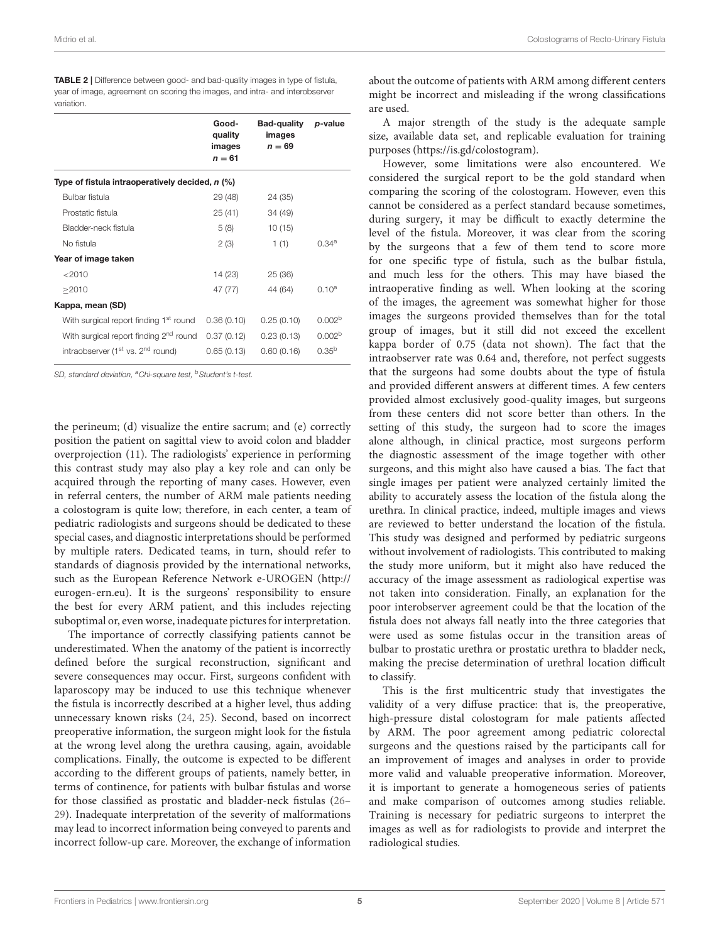|                                                           | Good-<br>quality<br>images<br>$n = 61$ | Bad-quality<br>images<br>$n = 69$ | p-value            |
|-----------------------------------------------------------|----------------------------------------|-----------------------------------|--------------------|
| Type of fistula intraoperatively decided, n (%)           |                                        |                                   |                    |
| Bulbar fistula                                            | 29 (48)                                | 24 (35)                           |                    |
| Prostatic fistula                                         | 25(41)                                 | 34 (49)                           |                    |
| Bladder-neck fistula                                      | 5(8)                                   | 10(15)                            |                    |
| No fistula                                                | 2(3)                                   | 1(1)                              | 0.34a              |
| Year of image taken                                       |                                        |                                   |                    |
| < 2010                                                    | 14 (23)                                | 25 (36)                           |                    |
| >2010                                                     | 47 (77)                                | 44 (64)                           | 0.10 <sup>a</sup>  |
| Kappa, mean (SD)                                          |                                        |                                   |                    |
| With surgical report finding 1 <sup>st</sup> round        | 0.36(0.10)                             | 0.25(0.10)                        | 0.002 <sup>b</sup> |
| With surgical report finding 2 <sup>nd</sup> round        | 0.37(0.12)                             | 0.23(0.13)                        | 0.002 <sup>b</sup> |
| intraobserver (1 <sup>st</sup> vs. 2 <sup>nd</sup> round) | 0.65(0.13)                             | 0.60(0.16)                        | $0.35^{b}$         |

<span id="page-4-0"></span>TABLE 2 | Difference between good- and bad-quality images in type of fistula, year of image, agreement on scoring the images, and intra- and interobserver variation.

SD, standard deviation, <sup>a</sup>Chi-square test, <sup>b</sup>Student's t-test.

the perineum; (d) visualize the entire sacrum; and (e) correctly position the patient on sagittal view to avoid colon and bladder overprojection (11). The radiologists' experience in performing this contrast study may also play a key role and can only be acquired through the reporting of many cases. However, even in referral centers, the number of ARM male patients needing a colostogram is quite low; therefore, in each center, a team of pediatric radiologists and surgeons should be dedicated to these special cases, and diagnostic interpretations should be performed by multiple raters. Dedicated teams, in turn, should refer to standards of diagnosis provided by the international networks, such as the European Reference Network e-UROGEN [\(http://](http://eurogen-ern.eu) [eurogen-ern.eu\)](http://eurogen-ern.eu). It is the surgeons' responsibility to ensure the best for every ARM patient, and this includes rejecting suboptimal or, even worse, inadequate pictures for interpretation.

The importance of correctly classifying patients cannot be underestimated. When the anatomy of the patient is incorrectly defined before the surgical reconstruction, significant and severe consequences may occur. First, surgeons confident with laparoscopy may be induced to use this technique whenever the fistula is incorrectly described at a higher level, thus adding unnecessary known risks [\(24,](#page-5-19) [25\)](#page-5-20). Second, based on incorrect preoperative information, the surgeon might look for the fistula at the wrong level along the urethra causing, again, avoidable complications. Finally, the outcome is expected to be different according to the different groups of patients, namely better, in terms of continence, for patients with bulbar fistulas and worse for those classified as prostatic and bladder-neck fistulas [\(26–](#page-5-21) [29\)](#page-6-0). Inadequate interpretation of the severity of malformations may lead to incorrect information being conveyed to parents and incorrect follow-up care. Moreover, the exchange of information about the outcome of patients with ARM among different centers might be incorrect and misleading if the wrong classifications are used.

A major strength of the study is the adequate sample size, available data set, and replicable evaluation for training purposes [\(https://is.gd/colostogram\)](https://is.gd/colostogram).

However, some limitations were also encountered. We considered the surgical report to be the gold standard when comparing the scoring of the colostogram. However, even this cannot be considered as a perfect standard because sometimes, during surgery, it may be difficult to exactly determine the level of the fistula. Moreover, it was clear from the scoring by the surgeons that a few of them tend to score more for one specific type of fistula, such as the bulbar fistula, and much less for the others. This may have biased the intraoperative finding as well. When looking at the scoring of the images, the agreement was somewhat higher for those images the surgeons provided themselves than for the total group of images, but it still did not exceed the excellent kappa border of 0.75 (data not shown). The fact that the intraobserver rate was 0.64 and, therefore, not perfect suggests that the surgeons had some doubts about the type of fistula and provided different answers at different times. A few centers provided almost exclusively good-quality images, but surgeons from these centers did not score better than others. In the setting of this study, the surgeon had to score the images alone although, in clinical practice, most surgeons perform the diagnostic assessment of the image together with other surgeons, and this might also have caused a bias. The fact that single images per patient were analyzed certainly limited the ability to accurately assess the location of the fistula along the urethra. In clinical practice, indeed, multiple images and views are reviewed to better understand the location of the fistula. This study was designed and performed by pediatric surgeons without involvement of radiologists. This contributed to making the study more uniform, but it might also have reduced the accuracy of the image assessment as radiological expertise was not taken into consideration. Finally, an explanation for the poor interobserver agreement could be that the location of the fistula does not always fall neatly into the three categories that were used as some fistulas occur in the transition areas of bulbar to prostatic urethra or prostatic urethra to bladder neck, making the precise determination of urethral location difficult to classify.

This is the first multicentric study that investigates the validity of a very diffuse practice: that is, the preoperative, high-pressure distal colostogram for male patients affected by ARM. The poor agreement among pediatric colorectal surgeons and the questions raised by the participants call for an improvement of images and analyses in order to provide more valid and valuable preoperative information. Moreover, it is important to generate a homogeneous series of patients and make comparison of outcomes among studies reliable. Training is necessary for pediatric surgeons to interpret the images as well as for radiologists to provide and interpret the radiological studies.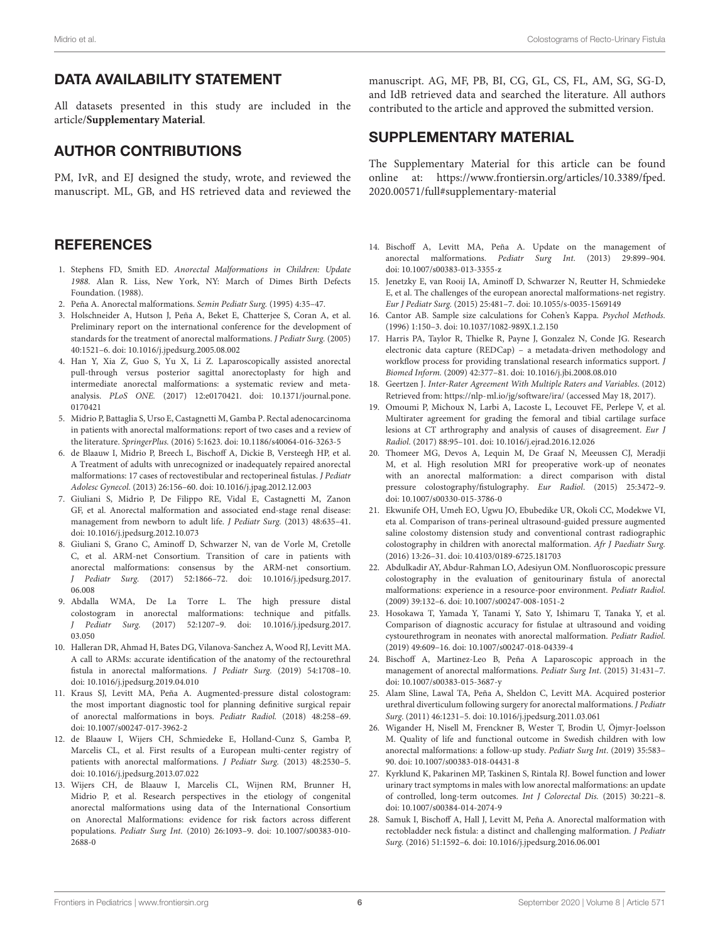# DATA AVAILABILITY STATEMENT

All datasets presented in this study are included in the article/**[Supplementary Material](#page-5-22)**.

# AUTHOR CONTRIBUTIONS

PM, IvR, and EJ designed the study, wrote, and reviewed the manuscript. ML, GB, and HS retrieved data and reviewed the

## **REFERENCES**

- <span id="page-5-0"></span>1. Stephens FD, Smith ED. Anorectal Malformations in Children: Update 1988. Alan R. Liss, New York, NY: March of Dimes Birth Defects Foundation. (1988).
- 2. Peña A. Anorectal malformations. Semin Pediatr Surg. (1995) 4:35–47.
- <span id="page-5-1"></span>3. Holschneider A, Hutson J, Peña A, Beket E, Chatterjee S, Coran A, et al. Preliminary report on the international conference for the development of standards for the treatment of anorectal malformations. J Pediatr Surg. (2005) 40:1521–6. doi: [10.1016/j.jpedsurg.2005.08.002](https://doi.org/10.1016/j.jpedsurg.2005.08.002)
- <span id="page-5-2"></span>4. Han Y, Xia Z, Guo S, Yu X, Li Z. Laparoscopically assisted anorectal pull-through versus posterior sagittal anorectoplasty for high and intermediate anorectal malformations: a systematic review and metaanalysis. PLoS ONE. [\(2017\) 12:e0170421. doi: 10.1371/journal.pone.](https://doi.org/10.1371/journal.pone.0170421) 0170421
- <span id="page-5-3"></span>5. Midrio P, Battaglia S, Urso E, Castagnetti M, Gamba P. Rectal adenocarcinoma in patients with anorectal malformations: report of two cases and a review of the literature. SpringerPlus. (2016) 5:1623. doi: [10.1186/s40064-016-3263-5](https://doi.org/10.1186/s40064-016-3263-5)
- 6. de Blaauw I, Midrio P, Breech L, Bischoff A, Dickie B, Versteegh HP, et al. A Treatment of adults with unrecognized or inadequately repaired anorectal malformations: 17 cases of rectovestibular and rectoperineal fistulas. J Pediatr Adolesc Gynecol. (2013) 26:156–60. doi: [10.1016/j.jpag.2012.12.003](https://doi.org/10.1016/j.jpag.2012.12.003)
- 7. Giuliani S, Midrio P, De Filippo RE, Vidal E, Castagnetti M, Zanon GF, et al. Anorectal malformation and associated end-stage renal disease: management from newborn to adult life. J Pediatr Surg. (2013) 48:635–41. doi: [10.1016/j.jpedsurg.2012.10.073](https://doi.org/10.1016/j.jpedsurg.2012.10.073)
- <span id="page-5-4"></span>8. Giuliani S, Grano C, Aminoff D, Schwarzer N, van de Vorle M, Cretolle C, et al. ARM-net Consortium. Transition of care in patients with anorectal malformations: consensus by the ARM-net consortium. J Pediatr Surg. [\(2017\) 52:1866–72. doi: 10.1016/j.jpedsurg.2017.](https://doi.org/10.1016/j.jpedsurg.2017.06.008) 06.008
- <span id="page-5-5"></span>9. Abdalla WMA, De La Torre L. The high pressure distal colostogram in anorectal malformations: technique and pitfalls. J Pediatr Surg. [\(2017\) 52:1207–9. doi: 10.1016/j.jpedsurg.2017.](https://doi.org/10.1016/j.jpedsurg.2017.03.050) 03.050
- 10. Halleran DR, Ahmad H, Bates DG, Vilanova-Sanchez A, Wood RJ, Levitt MA. A call to ARMs: accurate identification of the anatomy of the rectourethral fistula in anorectal malformations. J Pediatr Surg. (2019) 54:1708–10. doi: [10.1016/j.jpedsurg.2019.04.010](https://doi.org/10.1016/j.jpedsurg.2019.04.010)
- <span id="page-5-6"></span>11. Kraus SJ, Levitt MA, Peña A. Augmented-pressure distal colostogram: the most important diagnostic tool for planning definitive surgical repair of anorectal malformations in boys. Pediatr Radiol. (2018) 48:258–69. doi: [10.1007/s00247-017-3962-2](https://doi.org/10.1007/s00247-017-3962-2)
- <span id="page-5-7"></span>12. de Blaauw I, Wijers CH, Schmiedeke E, Holland-Cunz S, Gamba P, Marcelis CL, et al. First results of a European multi-center registry of patients with anorectal malformations. J Pediatr Surg. (2013) 48:2530–5. doi: [10.1016/j.jpedsurg.2013.07.022](https://doi.org/10.1016/j.jpedsurg.2013.07.022)
- <span id="page-5-8"></span>13. Wijers CH, de Blaauw I, Marcelis CL, Wijnen RM, Brunner H, Midrio P, et al. Research perspectives in the etiology of congenital anorectal malformations using data of the International Consortium on Anorectal Malformations: evidence for risk factors across different populations. Pediatr Surg Int. [\(2010\) 26:1093–9. doi: 10.1007/s00383-010-](https://doi.org/10.1007/s00383-010-2688-0) 2688-0

manuscript. AG, MF, PB, BI, CG, GL, CS, FL, AM, SG, SG-D, and IdB retrieved data and searched the literature. All authors contributed to the article and approved the submitted version.

# SUPPLEMENTARY MATERIAL

<span id="page-5-22"></span>The Supplementary Material for this article can be found [online at: https://www.frontiersin.org/articles/10.3389/fped.](https://www.frontiersin.org/articles/10.3389/fped.2020.00571/full#supplementary-material) 2020.00571/full#supplementary-material

- <span id="page-5-9"></span>14. Bischoff A, Levitt MA, Peña A. Update on the management of anorectal malformations. Pediatr Surg Int. (2013) 29:899–904. doi: [10.1007/s00383-013-3355-z](https://doi.org/10.1007/s00383-013-3355-z)
- <span id="page-5-10"></span>15. Jenetzky E, van Rooij IA, Aminoff D, Schwarzer N, Reutter H, Schmiedeke E, et al. The challenges of the european anorectal malformations-net registry. Eur J Pediatr Surg. (2015) 25:481–7. doi: [10.1055/s-0035-1569149](https://doi.org/10.1055/s-0035-1569149)
- <span id="page-5-11"></span>16. Cantor AB. Sample size calculations for Cohen's Kappa. Psychol Methods. (1996) 1:150–3. doi: [10.1037/1082-989X.1.2.150](https://doi.org/10.1037/1082-989X.1.2.150)
- <span id="page-5-12"></span>17. Harris PA, Taylor R, Thielke R, Payne J, Gonzalez N, Conde JG. Research electronic data capture (REDCap) – a metadata-driven methodology and workflow process for providing translational research informatics support. J Biomed Inform. (2009) 42:377–81. doi: [10.1016/j.jbi.2008.08.010](https://doi.org/10.1016/j.jbi.2008.08.010)
- <span id="page-5-13"></span>18. Geertzen J. Inter-Rater Agreement With Multiple Raters and Variables. (2012) Retrieved from:<https://nlp-ml.io/jg/software/ira/> (accessed May 18, 2017).
- <span id="page-5-14"></span>19. Omoumi P, Michoux N, Larbi A, Lacoste L, Lecouvet FE, Perlepe V, et al. Multirater agreement for grading the femoral and tibial cartilage surface lesions at CT arthrography and analysis of causes of disagreement. Eur J Radiol. (2017) 88:95–101. doi: [10.1016/j.ejrad.2016.12.026](https://doi.org/10.1016/j.ejrad.2016.12.026)
- <span id="page-5-15"></span>20. Thomeer MG, Devos A, Lequin M, De Graaf N, Meeussen CJ, Meradji M, et al. High resolution MRI for preoperative work-up of neonates with an anorectal malformation: a direct comparison with distal pressure colostography/fistulography. Eur Radiol. (2015) 25:3472–9. doi: [10.1007/s00330-015-3786-0](https://doi.org/10.1007/s00330-015-3786-0)
- <span id="page-5-16"></span>21. Ekwunife OH, Umeh EO, Ugwu JO, Ebubedike UR, Okoli CC, Modekwe VI, eta al. Comparison of trans-perineal ultrasound-guided pressure augmented saline colostomy distension study and conventional contrast radiographic colostography in children with anorectal malformation. Afr J Paediatr Surg. (2016) 13:26–31. doi: [10.4103/0189-6725.181703](https://doi.org/10.4103/0189-6725.181703)
- <span id="page-5-17"></span>22. Abdulkadir AY, Abdur-Rahman LO, Adesiyun OM. Nonfluoroscopic pressure colostography in the evaluation of genitourinary fistula of anorectal malformations: experience in a resource-poor environment. Pediatr Radiol. (2009) 39:132–6. doi: [10.1007/s00247-008-1051-2](https://doi.org/10.1007/s00247-008-1051-2)
- <span id="page-5-18"></span>23. Hosokawa T, Yamada Y, Tanami Y, Sato Y, Ishimaru T, Tanaka Y, et al. Comparison of diagnostic accuracy for fistulae at ultrasound and voiding cystourethrogram in neonates with anorectal malformation. Pediatr Radiol. (2019) 49:609–16. doi: [10.1007/s00247-018-04339-4](https://doi.org/10.1007/s00247-018-04339-4)
- <span id="page-5-19"></span>24. Bischoff A, Martinez-Leo B, Peña A Laparoscopic approach in the management of anorectal malformations. Pediatr Surg Int. (2015) 31:431–7. doi: [10.1007/s00383-015-3687-y](https://doi.org/10.1007/s00383-015-3687-y)
- <span id="page-5-20"></span>25. Alam Sline, Lawal TA, Peña A, Sheldon C, Levitt MA. Acquired posterior urethral diverticulum following surgery for anorectal malformations. J Pediatr Surg. (2011) 46:1231–5. doi: [10.1016/j.jpedsurg.2011.03.061](https://doi.org/10.1016/j.jpedsurg.2011.03.061)
- <span id="page-5-21"></span>26. Wigander H, Nisell M, Frenckner B, Wester T, Brodin U, Öjmyr-Joelsson M. Quality of life and functional outcome in Swedish children with low anorectal malformations: a follow-up study. Pediatr Surg Int. (2019) 35:583– 90. doi: [10.1007/s00383-018-04431-8](https://doi.org/10.1007/s00383-018-04431-8)
- 27. Kyrklund K, Pakarinen MP, Taskinen S, Rintala RJ. Bowel function and lower urinary tract symptoms in males with low anorectal malformations: an update of controlled, long-term outcomes. Int J Colorectal Dis. (2015) 30:221–8. doi: [10.1007/s00384-014-2074-9](https://doi.org/10.1007/s00384-014-2074-9)
- 28. Samuk I, Bischoff A, Hall J, Levitt M, Peña A. Anorectal malformation with rectobladder neck fistula: a distinct and challenging malformation. J Pediatr Surg. (2016) 51:1592–6. doi: [10.1016/j.jpedsurg.2016.06.001](https://doi.org/10.1016/j.jpedsurg.2016.06.001)